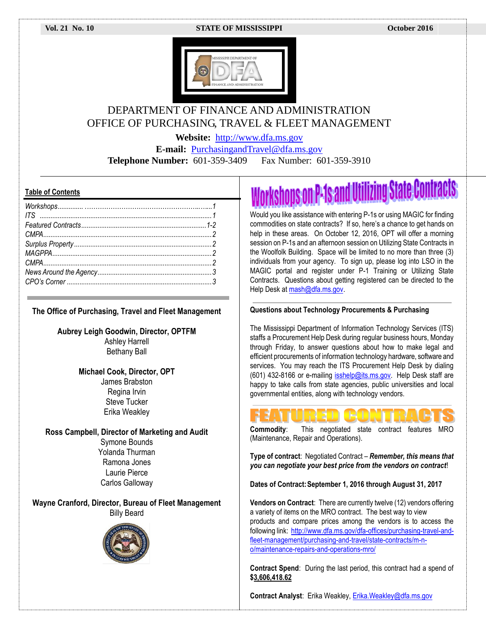#### **Vol. 21 No. 10 STATE OF MISSISSIPPI October 2016**



## DEPARTMENT OF FINANCE AND ADMINISTRATION OFFICE OF PURCHASING, TRAVEL & FLEET MANAGEMENT

**Website:** [http://www.dfa.ms.gov](http://www.dfa.ms.gov/)

**E-mail:** [PurchasingandTravel@dfa.ms.gov](mailto:PurchasingandTravel@dfa.ms.gov)

**Telephone Number:** 601-359-3409 Fax Number: 601-359-3910

#### **Table of Contents**

**The Office of Purchasing, Travel and Fleet Management**

**Aubrey Leigh Goodwin, Director, OPTFM** Ashley Harrell Bethany Ball

### **Michael Cook, Director, OPT**

James Brabston Regina Irvin Steve Tucker Erika Weakley

**Ross Campbell, Director of Marketing and Audit**

Symone Bounds Yolanda Thurman Ramona Jones Laurie Pierce Carlos Galloway

**Wayne Cranford, Director, Bureau of Fleet Management** Billy Beard



# rkshops on P-1s and Utilizing State Contracts

Would you like assistance with entering P-1s or using MAGIC for finding commodities on state contracts? If so, here's a chance to get hands on help in these areas. On October 12, 2016, OPT will offer a morning session on P-1s and an afternoon session on Utilizing State Contracts in the Woolfolk Building. Space will be limited to no more than three (3) individuals from your agency. To sign up, please log into LSO in the MAGIC portal and register under P-1 Training or Utilizing State Contracts. Questions about getting registered can be directed to the Help Desk at mash@dfa.ms.gov.

#### **Questions about Technology Procurements & Purchasing**

The Mississippi Department of Information Technology Services (ITS) staffs a Procurement Help Desk during regular business hours, Monday through Friday, to answer questions about how to make legal and efficient procurements of information technology hardware, software and services. You may reach the ITS Procurement Help Desk by dialing (601) 432-8166 or e-mailing [isshelp@its.ms.gov.](mailto:isshelp@its.ms.gov) Help Desk staff are happy to take calls from state agencies, public universities and local governmental entities, along with technology vendors.



**Commodity:** This negotiated state contract features MRO (Maintenance, Repair and Operations).

**Type of contract**: Negotiated Contract – *Remember, this means that you can negotiate your best price from the vendors on contract*!

**Dates of Contract:September 1, 2016 through August 31, 2017**

**Vendors on Contract**: There are currently twelve (12) vendors offering a variety of items on the MRO contract. The best way to view products and compare prices among the vendors is to access the following link: [http://www.dfa.ms.gov/dfa-offices/purchasing-travel-and](http://www.dfa.ms.gov/dfa-offices/purchasing-travel-and-fleet-management/purchasing-and-travel/state-contracts/m-n-o/maintenance-repairs-and-operations-mro/)[fleet-management/purchasing-and-travel/state-contracts/m-n](http://www.dfa.ms.gov/dfa-offices/purchasing-travel-and-fleet-management/purchasing-and-travel/state-contracts/m-n-o/maintenance-repairs-and-operations-mro/)[o/maintenance-repairs-and-operations-mro/](http://www.dfa.ms.gov/dfa-offices/purchasing-travel-and-fleet-management/purchasing-and-travel/state-contracts/m-n-o/maintenance-repairs-and-operations-mro/)

**Contract Spend**: During the last period, this contract had a spend of **\$3,606,418.62**

**Contract Analyst**: Erika Weakley[, Erika.Weakley@dfa.ms.gov](mailto:Erika.Weakley@dfa.ms.gov)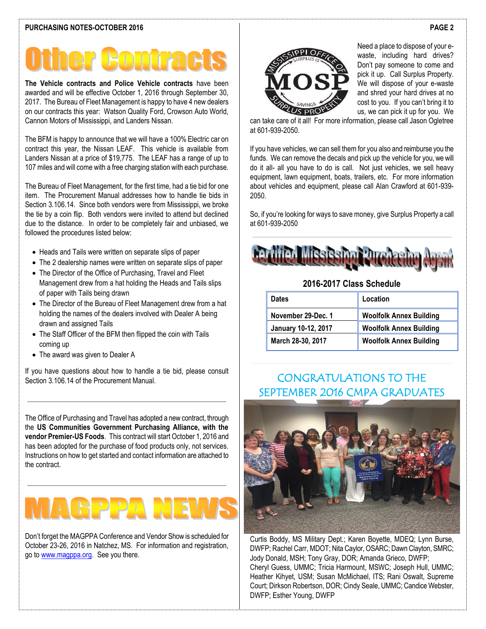**The Vehicle contracts and Police Vehicle contracts** have been awarded and will be effective October 1, 2016 through September 30, 2017. The Bureau of Fleet Management is happy to have 4 new dealers on our contracts this year: Watson Quality Ford, Crowson Auto World, Cannon Motors of Mississippi, and Landers Nissan.

The BFM is happy to announce that we will have a 100% Electric car on contract this year, the Nissan LEAF. This vehicle is available from Landers Nissan at a price of \$19,775. The LEAF has a range of up to 107 miles and will come with a free charging station with each purchase.

The Bureau of Fleet Management, for the first time, had a tie bid for one item. The Procurement Manual addresses how to handle tie bids in Section 3.106.14. Since both vendors were from Mississippi, we broke the tie by a coin flip. Both vendors were invited to attend but declined due to the distance. In order to be completely fair and unbiased, we followed the procedures listed below:

- Heads and Tails were written on separate slips of paper
- The 2 dealership names were written on separate slips of paper
- The Director of the Office of Purchasing, Travel and Fleet Management drew from a hat holding the Heads and Tails slips of paper with Tails being drawn
- The Director of the Bureau of Fleet Management drew from a hat holding the names of the dealers involved with Dealer A being drawn and assigned Tails
- The Staff Officer of the BFM then flipped the coin with Tails coming up
- The award was given to Dealer A

If you have questions about how to handle a tie bid, please consult Section 3.106.14 of the Procurement Manual.

The Office of Purchasing and Travel has adopted a new contract, through the **US Communities Government Purchasing Alliance, with the vendor Premier-US Foods**. This contract will start October 1, 2016 and has been adopted for the purchase of food products only, not services. Instructions on how to get started and contact information are attached to the contract.

Don't forget the MAGPPA Conference and Vendor Show is scheduled for October 23-26, 2016 in Natchez, MS. For information and registration, go to [www.magppa.org.](http://www.magppa.org/) See you there.



Need a place to dispose of your ewaste, including hard drives? Don't pay someone to come and pick it up. Call Surplus Property. We will dispose of your e-waste and shred your hard drives at no cost to you. If you can't bring it to us, we can pick it up for you. We

can take care of it all! For more information, please call Jason Ogletree at 601-939-2050.

If you have vehicles, we can sell them for you also and reimburse you the funds. We can remove the decals and pick up the vehicle for you, we will do it all- all you have to do is call. Not just vehicles, we sell heavy equipment, lawn equipment, boats, trailers, etc. For more information about vehicles and equipment, please call Alan Crawford at 601-939- 2050.

So, if you're looking for ways to save money, give Surplus Property a call at 601-939-2050



### **2016-2017 Class Schedule**

| <b>Dates</b>        | Location                       |
|---------------------|--------------------------------|
| November 29-Dec. 1  | <b>Woolfolk Annex Building</b> |
| January 10-12, 2017 | <b>Woolfolk Annex Building</b> |
| March 28-30, 2017   | <b>Woolfolk Annex Building</b> |

## CONGRATULATIONS TO THE SEPTEMBER 2016 CMPA GRADUATES



Curtis Boddy, MS Military Dept.; Karen Boyette, MDEQ; Lynn Burse, DWFP; Rachel Carr, MDOT; Nita Caylor, OSARC; Dawn Clayton, SMRC; Jody Donald, MSH; Tony Gray, DOR; Amanda Grieco, DWFP; Cheryl Guess, UMMC; Tricia Harmount, MSWC; Joseph Hull, UMMC; Heather Kihyet, USM; Susan McMichael, ITS; Rani Oswalt, Supreme Court; Dirkson Robertson, DOR; Cindy Seale, UMMC; Candice Webster, DWFP; Esther Young, DWFP

#### **PAGE 2**